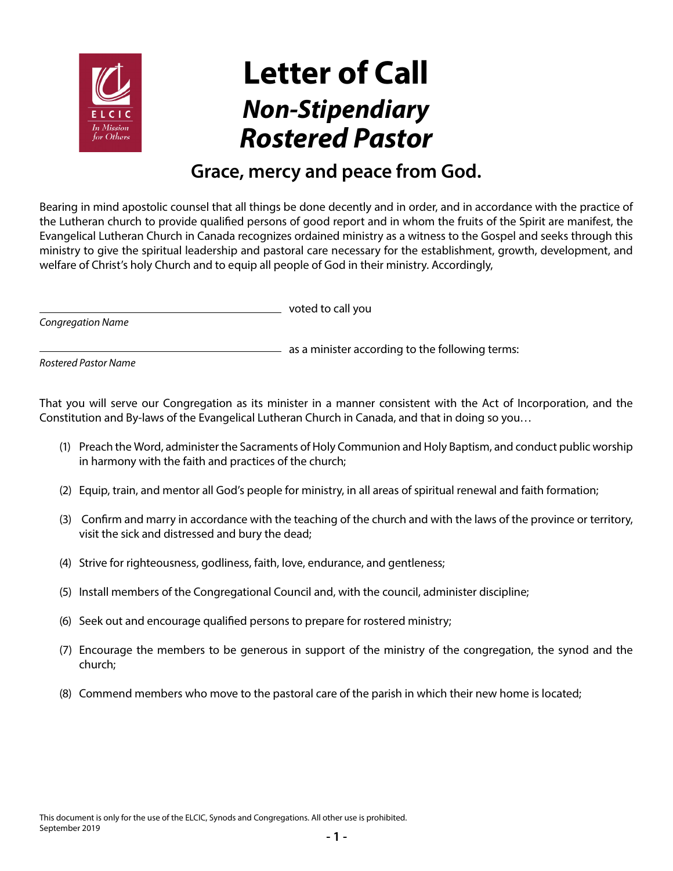

## **Letter of Call** *Non-Stipendiary Rostered Pastor*

## **Grace, mercy and peace from God.**

Bearing in mind apostolic counsel that all things be done decently and in order, and in accordance with the practice of the Lutheran church to provide qualified persons of good report and in whom the fruits of the Spirit are manifest, the Evangelical Lutheran Church in Canada recognizes ordained ministry as a witness to the Gospel and seeks through this ministry to give the spiritual leadership and pastoral care necessary for the establishment, growth, development, and welfare of Christ's holy Church and to equip all people of God in their ministry. Accordingly,

*Congregation Name*

voted to call you

*Rostered Pastor Name*

That you will serve our Congregation as its minister in a manner consistent with the Act of Incorporation, and the Constitution and By-laws of the Evangelical Lutheran Church in Canada, and that in doing so you…

(1) Preach the Word, administer the Sacraments of Holy Communion and Holy Baptism, and conduct public worship in harmony with the faith and practices of the church;

 $-$  as a minister according to the following terms:

- (2) Equip, train, and mentor all God's people for ministry, in all areas of spiritual renewal and faith formation;
- (3) Confirm and marry in accordance with the teaching of the church and with the laws of the province or territory, visit the sick and distressed and bury the dead;
- (4) Strive for righteousness, godliness, faith, love, endurance, and gentleness;
- (5) Install members of the Congregational Council and, with the council, administer discipline;
- (6) Seek out and encourage qualified persons to prepare for rostered ministry;
- (7) Encourage the members to be generous in support of the ministry of the congregation, the synod and the church;
- (8) Commend members who move to the pastoral care of the parish in which their new home is located;